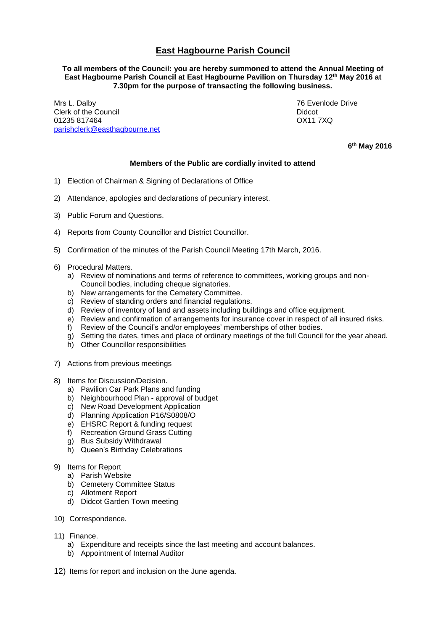## **East Hagbourne Parish Council**

## **To all members of the Council: you are hereby summoned to attend the Annual Meeting of East Hagbourne Parish Council at East Hagbourne Pavilion on Thursday 12 th May 2016 at 7.30pm for the purpose of transacting the following business.**

Mrs L. Dalby 76 Evenlode Drive **Clerk of the Council Clerk of the Council Clerk of the Council** 01235 817464 OX11 7XQ [parishclerk@easthagbourne.net](mailto:parishclerk@easthagbourne.net)

**6 th May 2016**

## **Members of the Public are cordially invited to attend**

- 1) Election of Chairman & Signing of Declarations of Office
- 2) Attendance, apologies and declarations of pecuniary interest.
- 3) Public Forum and Questions.
- 4) Reports from County Councillor and District Councillor.
- 5) Confirmation of the minutes of the Parish Council Meeting 17th March, 2016.
- 6) Procedural Matters.
	- a) Review of nominations and terms of reference to committees, working groups and non-Council bodies, including cheque signatories.
	- b) New arrangements for the Cemetery Committee.
	- c) Review of standing orders and financial regulations.
	- d) Review of inventory of land and assets including buildings and office equipment.
	- e) Review and confirmation of arrangements for insurance cover in respect of all insured risks.
	- f) Review of the Council's and/or employees' memberships of other bodies.
	- g) Setting the dates, times and place of ordinary meetings of the full Council for the year ahead.
	- h) Other Councillor responsibilities
- 7) Actions from previous meetings
- 8) Items for Discussion/Decision.
	- a) Pavilion Car Park Plans and funding
	- b) Neighbourhood Plan approval of budget
	- c) New Road Development Application
	- d) Planning Application P16/S0808/O
	- e) EHSRC Report & funding request<br>f) Recreation Ground Grass Cutting
	- Recreation Ground Grass Cutting
	- g) Bus Subsidy Withdrawal
	- h) Queen's Birthday Celebrations
- 9) Items for Report
	- a) Parish Website
	- b) Cemetery Committee Status
	- c) Allotment Report
	- d) Didcot Garden Town meeting
- 10) Correspondence.
- 11) Finance.
	- a) Expenditure and receipts since the last meeting and account balances.
	- b) Appointment of Internal Auditor
- 12) Items for report and inclusion on the June agenda.